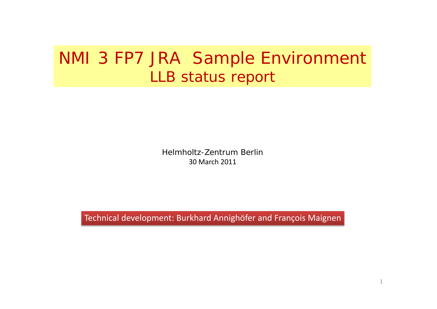# NMI 3 FP7 JRA Sample Environment *LLB status report*

Helmholtz-Zentrum Berlin30 March 2011

Technical development: Burkhard Annighöfer and François Maignen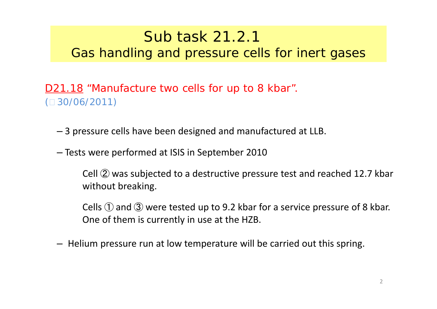### Sub task 21.2.1 *Gas handling and pressure cells for inert gases*

D21.18 "Manufacture two cells for up to 8 kbar".  $(D 30/06/2011)$ 

- 3 pressure cells have been designed and manufactured at LLB.
- Tests were performed at ISIS in September 2010

Cell ➁ was subjected to <sup>a</sup> destructive pressure test and reached 12.7 kbar without breaking.

Cells  $\mathbb O$  and  $\mathbb S$  were tested up to 9.2 kbar for a service pressure of 8 kbar. One of them is currently in use at the HZB.

– Helium pressure run at low temperature will be carried out this spring.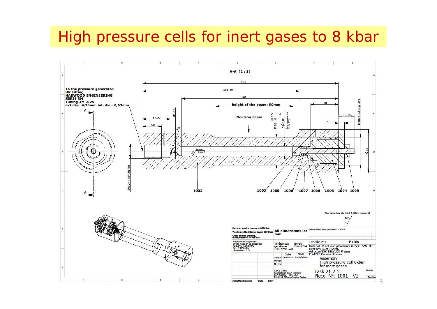## High pressure cells for inert gases to 8 kbar



3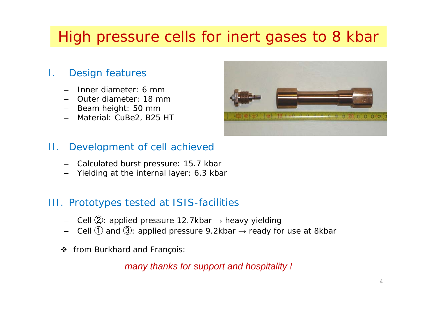# High pressure cells for inert gases to 8 kbar

#### I.Design features

- –Inner diameter: 6 mm
- Outer diameter: 18 mm
- Beam height: 50 mm
- –Material: CuBe2, B25 HT



#### II.Development of cell achieved

- –Calculated burst pressure: 15.7 kbar
- –Yielding at the internal layer: 6.3 kbar

### III. Prototypes tested at ISIS-facilities

- –Cell ➁: applied pressure 12.7kbar → heavy yielding
- ––  $\,$  Cell  $\rm (\bar{I})$  and  $\rm (\bar{3})$ : applied pressure 9.2kbar  $\rightarrow$  ready for use at 8kbar
- $\mathbf{v}$ *from Burkhard and François:*

*many thanks for support and hospitality !*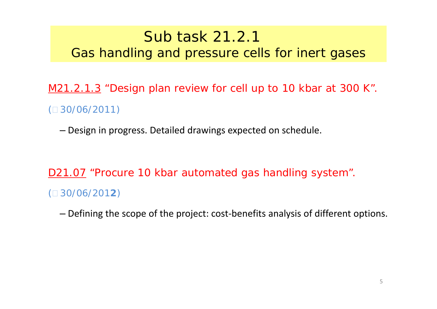### Sub task 21.2.1 *Gas handling and pressure cells for inert gases*

M21.2.1.3 "Design plan review for cell up to 10 kbar at 300 K".  $(D \cdot 30/06/2011)$ 

– Design in progress. Detailed drawings expected on schedule.

D21.07 "Procure 10 kbar automated gas handling system". ( 30/06/201**2**)

– Defining the scope of the project: cost‐benefits analysis of different options.